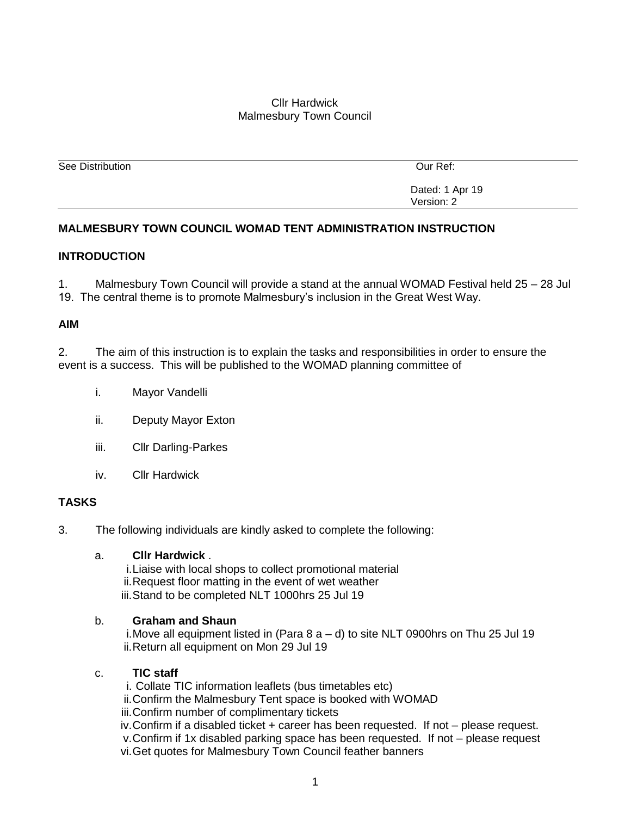## Cllr Hardwick Malmesbury Town Council

| Our Ref:        |
|-----------------|
|                 |
|                 |
| Dated: 1 Apr 19 |
| Version: 2      |
|                 |

## **MALMESBURY TOWN COUNCIL WOMAD TENT ADMINISTRATION INSTRUCTION**

#### **INTRODUCTION**

1. Malmesbury Town Council will provide a stand at the annual WOMAD Festival held 25 – 28 Jul 19. The central theme is to promote Malmesbury's inclusion in the Great West Way.

#### **AIM**

2. The aim of this instruction is to explain the tasks and responsibilities in order to ensure the event is a success. This will be published to the WOMAD planning committee of

- i. Mayor Vandelli
- ii. Deputy Mayor Exton
- iii. Cllr Darling-Parkes
- iv. Cllr Hardwick

# **TASKS**

3. The following individuals are kindly asked to complete the following:

#### a. **Cllr Hardwick** .

i.Liaise with local shops to collect promotional material ii.Request floor matting in the event of wet weather iii.Stand to be completed NLT 1000hrs 25 Jul 19

#### b. **Graham and Shaun**

i.Move all equipment listed in (Para 8 a – d) to site NLT 0900hrs on Thu 25 Jul 19 ii.Return all equipment on Mon 29 Jul 19

#### c. **TIC staff**

i. Collate TIC information leaflets (bus timetables etc) ii.Confirm the Malmesbury Tent space is booked with WOMAD iii.Confirm number of complimentary tickets iv.Confirm if a disabled ticket + career has been requested. If not – please request. v.Confirm if 1x disabled parking space has been requested. If not – please request vi.Get quotes for Malmesbury Town Council feather banners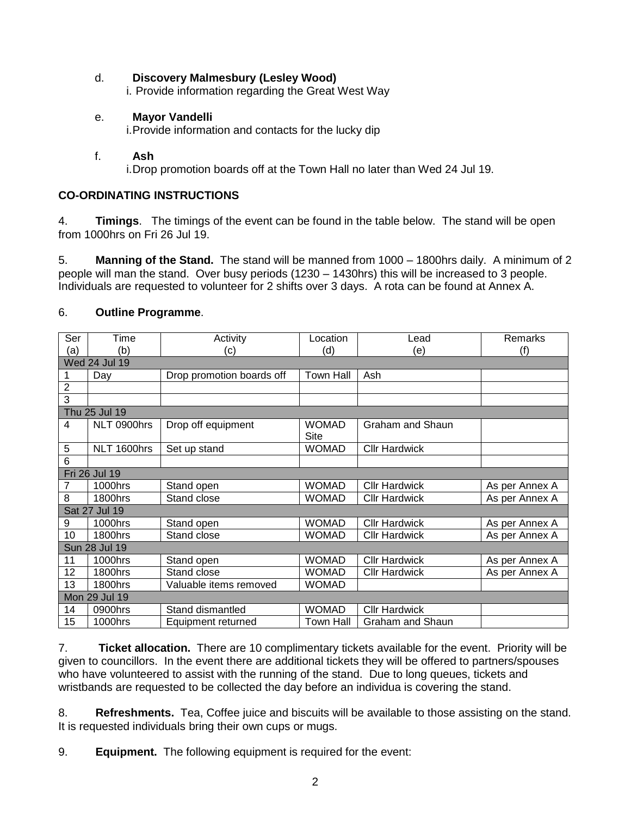## d. **Discovery Malmesbury (Lesley Wood)**

i. Provide information regarding the Great West Way

## e. **Mayor Vandelli**

i.Provide information and contacts for the lucky dip

### f. **Ash**

i.Drop promotion boards off at the Town Hall no later than Wed 24 Jul 19.

### **CO-ORDINATING INSTRUCTIONS**

4. **Timings**. The timings of the event can be found in the table below. The stand will be open from 1000hrs on Fri 26 Jul 19.

5. **Manning of the Stand.** The stand will be manned from 1000 – 1800hrs daily. A minimum of 2 people will man the stand. Over busy periods (1230 – 1430hrs) this will be increased to 3 people. Individuals are requested to volunteer for 2 shifts over 3 days. A rota can be found at Annex A.

| Ser              | Time                 | Activity                  | Location         | Lead                 | Remarks        |  |  |  |
|------------------|----------------------|---------------------------|------------------|----------------------|----------------|--|--|--|
| (a)              | (b)                  | (c)                       | (d)              | (e)                  | (f)            |  |  |  |
|                  | <b>Wed 24 Jul 19</b> |                           |                  |                      |                |  |  |  |
| 1                | Day                  | Drop promotion boards off | <b>Town Hall</b> | Ash                  |                |  |  |  |
| $\boldsymbol{2}$ |                      |                           |                  |                      |                |  |  |  |
| $\overline{3}$   |                      |                           |                  |                      |                |  |  |  |
|                  | Thu 25 Jul 19        |                           |                  |                      |                |  |  |  |
| 4                | NLT 0900hrs          | Drop off equipment        | <b>WOMAD</b>     | Graham and Shaun     |                |  |  |  |
|                  |                      |                           | Site             |                      |                |  |  |  |
| 5                | NLT 1600hrs          | Set up stand              | <b>WOMAD</b>     | <b>Cllr Hardwick</b> |                |  |  |  |
| 6                |                      |                           |                  |                      |                |  |  |  |
|                  | Fri 26 Jul 19        |                           |                  |                      |                |  |  |  |
| 7                | 1000hrs              | Stand open                | <b>WOMAD</b>     | <b>Cllr Hardwick</b> | As per Annex A |  |  |  |
| 8                | 1800hrs              | Stand close               | <b>WOMAD</b>     | <b>Cllr Hardwick</b> | As per Annex A |  |  |  |
|                  | Sat 27 Jul 19        |                           |                  |                      |                |  |  |  |
| 9                | 1000hrs              | Stand open                | <b>WOMAD</b>     | <b>Cllr Hardwick</b> | As per Annex A |  |  |  |
| 10               | 1800hrs              | Stand close               | <b>WOMAD</b>     | <b>Cllr Hardwick</b> | As per Annex A |  |  |  |
| Sun 28 Jul 19    |                      |                           |                  |                      |                |  |  |  |
| 11               | 1000hrs              | Stand open                | <b>WOMAD</b>     | <b>Cllr Hardwick</b> | As per Annex A |  |  |  |
| 12               | 1800hrs              | Stand close               | <b>WOMAD</b>     | <b>Cllr Hardwick</b> | As per Annex A |  |  |  |
| 13               | 1800hrs              | Valuable items removed    | <b>WOMAD</b>     |                      |                |  |  |  |
| Mon 29 Jul 19    |                      |                           |                  |                      |                |  |  |  |
| 14               | 0900hrs              | Stand dismantled          | <b>WOMAD</b>     | <b>Cllr Hardwick</b> |                |  |  |  |
| 15               | 1000hrs              | Equipment returned        | <b>Town Hall</b> | Graham and Shaun     |                |  |  |  |

## 6. **Outline Programme**.

7. **Ticket allocation.** There are 10 complimentary tickets available for the event. Priority will be given to councillors. In the event there are additional tickets they will be offered to partners/spouses who have volunteered to assist with the running of the stand. Due to long queues, tickets and wristbands are requested to be collected the day before an individua is covering the stand.

8. **Refreshments.** Tea, Coffee juice and biscuits will be available to those assisting on the stand. It is requested individuals bring their own cups or mugs.

9. **Equipment.** The following equipment is required for the event: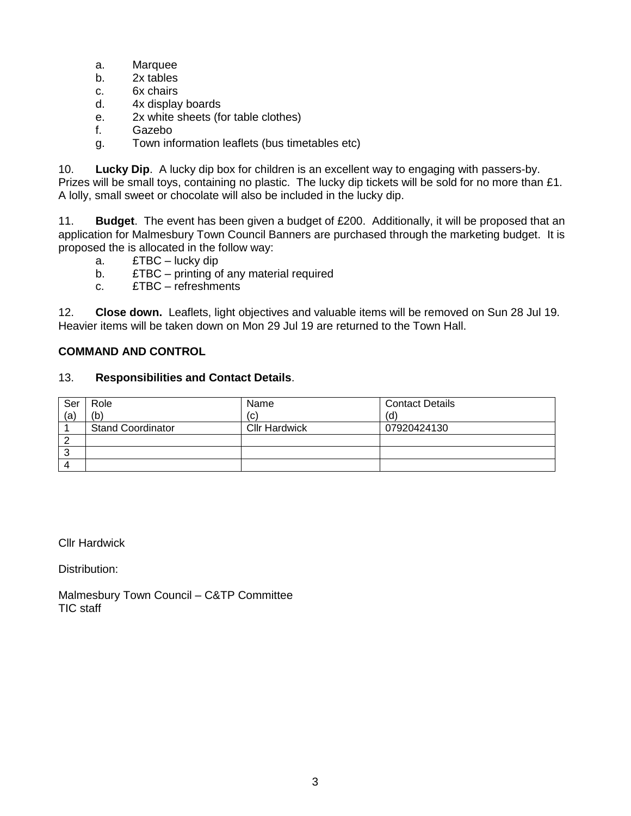- a. Marquee
- b. 2x tables
- c. 6x chairs
- d. 4x display boards
- e. 2x white sheets (for table clothes)
- f. Gazebo
- g. Town information leaflets (bus timetables etc)

10. **Lucky Dip**. A lucky dip box for children is an excellent way to engaging with passers-by. Prizes will be small toys, containing no plastic. The lucky dip tickets will be sold for no more than £1. A lolly, small sweet or chocolate will also be included in the lucky dip.

11. **Budget**. The event has been given a budget of £200. Additionally, it will be proposed that an application for Malmesbury Town Council Banners are purchased through the marketing budget. It is proposed the is allocated in the follow way:

- a. £TBC lucky dip
- b. £TBC printing of any material required
- c. £TBC refreshments

12. **Close down.** Leaflets, light objectives and valuable items will be removed on Sun 28 Jul 19. Heavier items will be taken down on Mon 29 Jul 19 are returned to the Town Hall.

# **COMMAND AND CONTROL**

## 13. **Responsibilities and Contact Details**.

| Ser | Role                     | Name                 | <b>Contact Details</b> |
|-----|--------------------------|----------------------|------------------------|
| (a) | (b)                      | (C)                  | (d)                    |
|     | <b>Stand Coordinator</b> | <b>Cllr Hardwick</b> | 07920424130            |
|     |                          |                      |                        |
|     |                          |                      |                        |
|     |                          |                      |                        |

Cllr Hardwick

Distribution:

Malmesbury Town Council – C&TP Committee TIC staff